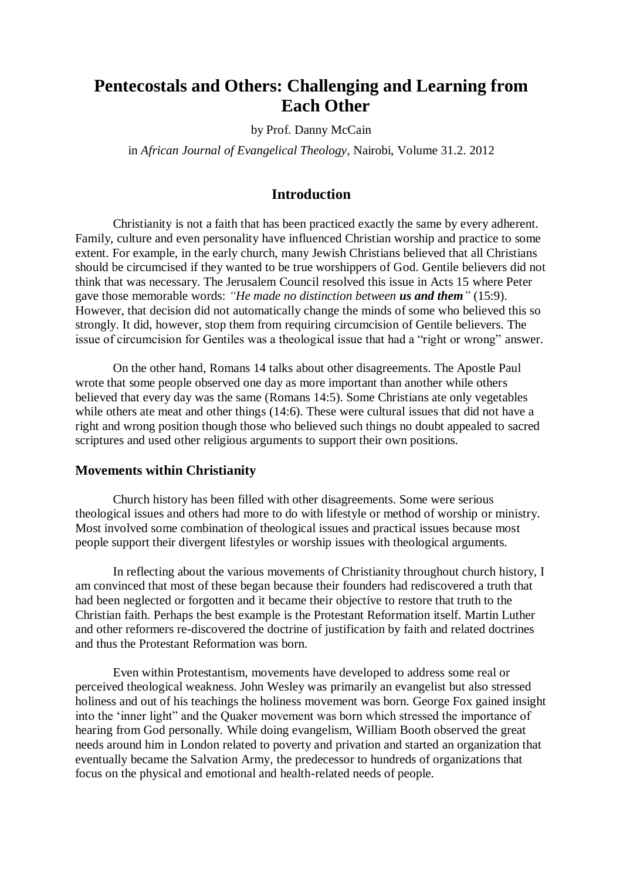# **Pentecostals and Others: Challenging and Learning from Each Other**

by Prof. Danny McCain

in *African Journal of Evangelical Theology*, Nairobi, Volume 31.2. 2012

## **Introduction**

Christianity is not a faith that has been practiced exactly the same by every adherent. Family, culture and even personality have influenced Christian worship and practice to some extent. For example, in the early church, many Jewish Christians believed that all Christians should be circumcised if they wanted to be true worshippers of God. Gentile believers did not think that was necessary. The Jerusalem Council resolved this issue in Acts 15 where Peter gave those memorable words: *"He made no distinction between us and them"* (15:9). However, that decision did not automatically change the minds of some who believed this so strongly. It did, however, stop them from requiring circumcision of Gentile believers. The issue of circumcision for Gentiles was a theological issue that had a "right or wrong" answer.

On the other hand, Romans 14 talks about other disagreements. The Apostle Paul wrote that some people observed one day as more important than another while others believed that every day was the same (Romans 14:5). Some Christians ate only vegetables while others ate meat and other things (14:6). These were cultural issues that did not have a right and wrong position though those who believed such things no doubt appealed to sacred scriptures and used other religious arguments to support their own positions.

#### **Movements within Christianity**

Church history has been filled with other disagreements. Some were serious theological issues and others had more to do with lifestyle or method of worship or ministry. Most involved some combination of theological issues and practical issues because most people support their divergent lifestyles or worship issues with theological arguments.

In reflecting about the various movements of Christianity throughout church history, I am convinced that most of these began because their founders had rediscovered a truth that had been neglected or forgotten and it became their objective to restore that truth to the Christian faith. Perhaps the best example is the Protestant Reformation itself. Martin Luther and other reformers re-discovered the doctrine of justification by faith and related doctrines and thus the Protestant Reformation was born.

Even within Protestantism, movements have developed to address some real or perceived theological weakness. John Wesley was primarily an evangelist but also stressed holiness and out of his teachings the holiness movement was born. George Fox gained insight into the 'inner light" and the Quaker movement was born which stressed the importance of hearing from God personally. While doing evangelism, William Booth observed the great needs around him in London related to poverty and privation and started an organization that eventually became the Salvation Army, the predecessor to hundreds of organizations that focus on the physical and emotional and health-related needs of people.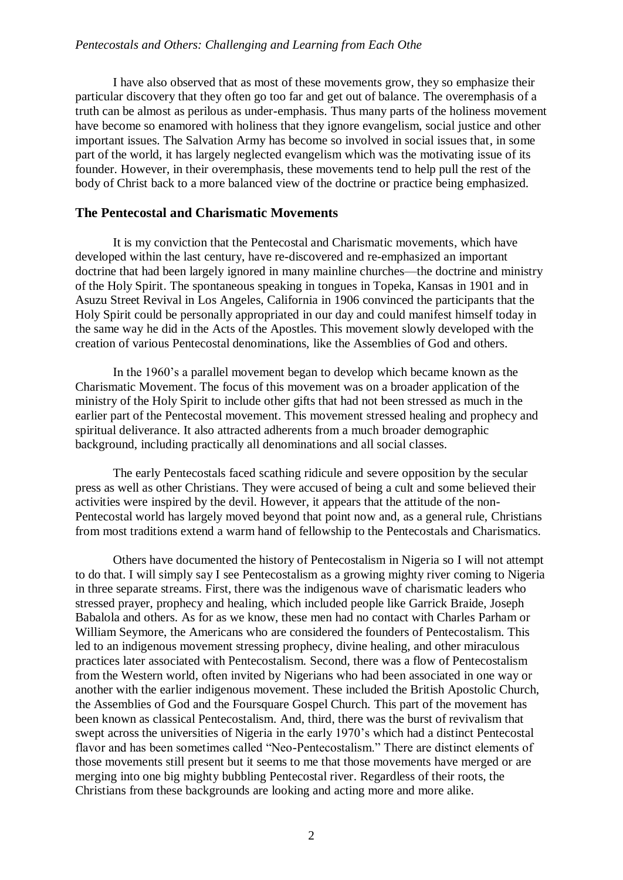I have also observed that as most of these movements grow, they so emphasize their particular discovery that they often go too far and get out of balance. The overemphasis of a truth can be almost as perilous as under-emphasis. Thus many parts of the holiness movement have become so enamored with holiness that they ignore evangelism, social justice and other important issues. The Salvation Army has become so involved in social issues that, in some part of the world, it has largely neglected evangelism which was the motivating issue of its founder. However, in their overemphasis, these movements tend to help pull the rest of the body of Christ back to a more balanced view of the doctrine or practice being emphasized.

## **The Pentecostal and Charismatic Movements**

It is my conviction that the Pentecostal and Charismatic movements, which have developed within the last century, have re-discovered and re-emphasized an important doctrine that had been largely ignored in many mainline churches—the doctrine and ministry of the Holy Spirit. The spontaneous speaking in tongues in Topeka, Kansas in 1901 and in Asuzu Street Revival in Los Angeles, California in 1906 convinced the participants that the Holy Spirit could be personally appropriated in our day and could manifest himself today in the same way he did in the Acts of the Apostles. This movement slowly developed with the creation of various Pentecostal denominations, like the Assemblies of God and others.

In the 1960's a parallel movement began to develop which became known as the Charismatic Movement. The focus of this movement was on a broader application of the ministry of the Holy Spirit to include other gifts that had not been stressed as much in the earlier part of the Pentecostal movement. This movement stressed healing and prophecy and spiritual deliverance. It also attracted adherents from a much broader demographic background, including practically all denominations and all social classes.

The early Pentecostals faced scathing ridicule and severe opposition by the secular press as well as other Christians. They were accused of being a cult and some believed their activities were inspired by the devil. However, it appears that the attitude of the non-Pentecostal world has largely moved beyond that point now and, as a general rule, Christians from most traditions extend a warm hand of fellowship to the Pentecostals and Charismatics.

Others have documented the history of Pentecostalism in Nigeria so I will not attempt to do that. I will simply say I see Pentecostalism as a growing mighty river coming to Nigeria in three separate streams. First, there was the indigenous wave of charismatic leaders who stressed prayer, prophecy and healing, which included people like Garrick Braide, Joseph Babalola and others. As for as we know, these men had no contact with Charles Parham or William Seymore, the Americans who are considered the founders of Pentecostalism. This led to an indigenous movement stressing prophecy, divine healing, and other miraculous practices later associated with Pentecostalism. Second, there was a flow of Pentecostalism from the Western world, often invited by Nigerians who had been associated in one way or another with the earlier indigenous movement. These included the British Apostolic Church, the Assemblies of God and the Foursquare Gospel Church. This part of the movement has been known as classical Pentecostalism. And, third, there was the burst of revivalism that swept across the universities of Nigeria in the early 1970's which had a distinct Pentecostal flavor and has been sometimes called "Neo-Pentecostalism." There are distinct elements of those movements still present but it seems to me that those movements have merged or are merging into one big mighty bubbling Pentecostal river. Regardless of their roots, the Christians from these backgrounds are looking and acting more and more alike.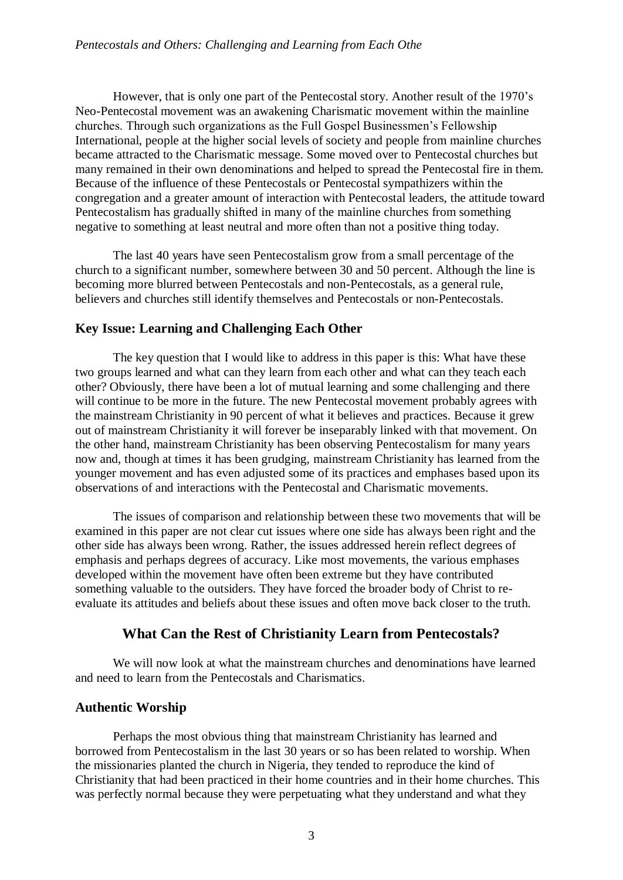However, that is only one part of the Pentecostal story. Another result of the 1970's Neo-Pentecostal movement was an awakening Charismatic movement within the mainline churches. Through such organizations as the Full Gospel Businessmen's Fellowship International, people at the higher social levels of society and people from mainline churches became attracted to the Charismatic message. Some moved over to Pentecostal churches but many remained in their own denominations and helped to spread the Pentecostal fire in them. Because of the influence of these Pentecostals or Pentecostal sympathizers within the congregation and a greater amount of interaction with Pentecostal leaders, the attitude toward Pentecostalism has gradually shifted in many of the mainline churches from something negative to something at least neutral and more often than not a positive thing today.

The last 40 years have seen Pentecostalism grow from a small percentage of the church to a significant number, somewhere between 30 and 50 percent. Although the line is becoming more blurred between Pentecostals and non-Pentecostals, as a general rule, believers and churches still identify themselves and Pentecostals or non-Pentecostals.

## **Key Issue: Learning and Challenging Each Other**

The key question that I would like to address in this paper is this: What have these two groups learned and what can they learn from each other and what can they teach each other? Obviously, there have been a lot of mutual learning and some challenging and there will continue to be more in the future. The new Pentecostal movement probably agrees with the mainstream Christianity in 90 percent of what it believes and practices. Because it grew out of mainstream Christianity it will forever be inseparably linked with that movement. On the other hand, mainstream Christianity has been observing Pentecostalism for many years now and, though at times it has been grudging, mainstream Christianity has learned from the younger movement and has even adjusted some of its practices and emphases based upon its observations of and interactions with the Pentecostal and Charismatic movements.

The issues of comparison and relationship between these two movements that will be examined in this paper are not clear cut issues where one side has always been right and the other side has always been wrong. Rather, the issues addressed herein reflect degrees of emphasis and perhaps degrees of accuracy. Like most movements, the various emphases developed within the movement have often been extreme but they have contributed something valuable to the outsiders. They have forced the broader body of Christ to reevaluate its attitudes and beliefs about these issues and often move back closer to the truth.

## **What Can the Rest of Christianity Learn from Pentecostals?**

We will now look at what the mainstream churches and denominations have learned and need to learn from the Pentecostals and Charismatics.

## **Authentic Worship**

Perhaps the most obvious thing that mainstream Christianity has learned and borrowed from Pentecostalism in the last 30 years or so has been related to worship. When the missionaries planted the church in Nigeria, they tended to reproduce the kind of Christianity that had been practiced in their home countries and in their home churches. This was perfectly normal because they were perpetuating what they understand and what they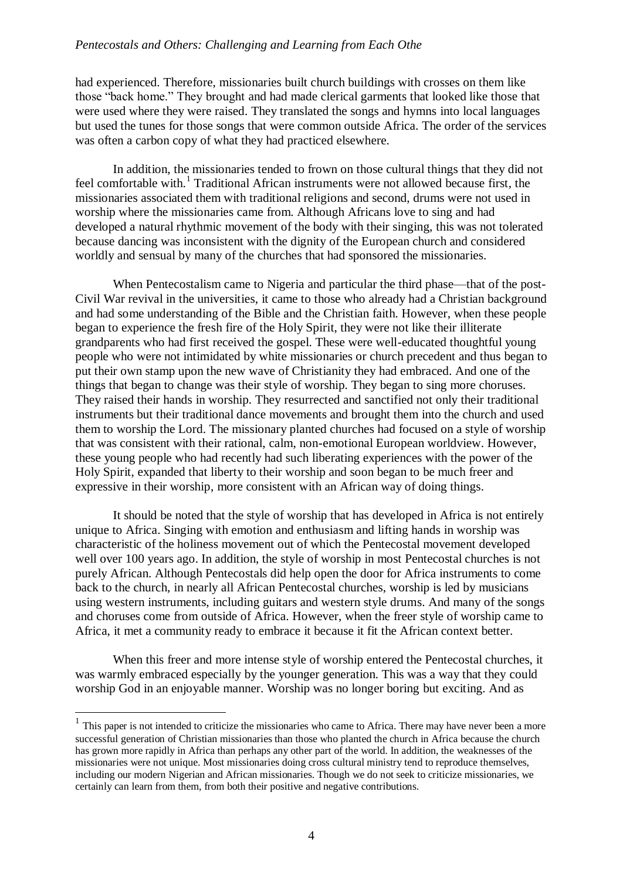had experienced. Therefore, missionaries built church buildings with crosses on them like those "back home." They brought and had made clerical garments that looked like those that were used where they were raised. They translated the songs and hymns into local languages but used the tunes for those songs that were common outside Africa. The order of the services was often a carbon copy of what they had practiced elsewhere.

In addition, the missionaries tended to frown on those cultural things that they did not feel comfortable with.<sup>1</sup> Traditional African instruments were not allowed because first, the missionaries associated them with traditional religions and second, drums were not used in worship where the missionaries came from. Although Africans love to sing and had developed a natural rhythmic movement of the body with their singing, this was not tolerated because dancing was inconsistent with the dignity of the European church and considered worldly and sensual by many of the churches that had sponsored the missionaries.

When Pentecostalism came to Nigeria and particular the third phase—that of the post-Civil War revival in the universities, it came to those who already had a Christian background and had some understanding of the Bible and the Christian faith. However, when these people began to experience the fresh fire of the Holy Spirit, they were not like their illiterate grandparents who had first received the gospel. These were well-educated thoughtful young people who were not intimidated by white missionaries or church precedent and thus began to put their own stamp upon the new wave of Christianity they had embraced. And one of the things that began to change was their style of worship. They began to sing more choruses. They raised their hands in worship. They resurrected and sanctified not only their traditional instruments but their traditional dance movements and brought them into the church and used them to worship the Lord. The missionary planted churches had focused on a style of worship that was consistent with their rational, calm, non-emotional European worldview. However, these young people who had recently had such liberating experiences with the power of the Holy Spirit, expanded that liberty to their worship and soon began to be much freer and expressive in their worship, more consistent with an African way of doing things.

It should be noted that the style of worship that has developed in Africa is not entirely unique to Africa. Singing with emotion and enthusiasm and lifting hands in worship was characteristic of the holiness movement out of which the Pentecostal movement developed well over 100 years ago. In addition, the style of worship in most Pentecostal churches is not purely African. Although Pentecostals did help open the door for Africa instruments to come back to the church, in nearly all African Pentecostal churches, worship is led by musicians using western instruments, including guitars and western style drums. And many of the songs and choruses come from outside of Africa. However, when the freer style of worship came to Africa, it met a community ready to embrace it because it fit the African context better.

When this freer and more intense style of worship entered the Pentecostal churches, it was warmly embraced especially by the younger generation. This was a way that they could worship God in an enjoyable manner. Worship was no longer boring but exciting. And as

<u>.</u>

<sup>&</sup>lt;sup>1</sup> This paper is not intended to criticize the missionaries who came to Africa. There may have never been a more successful generation of Christian missionaries than those who planted the church in Africa because the church has grown more rapidly in Africa than perhaps any other part of the world. In addition, the weaknesses of the missionaries were not unique. Most missionaries doing cross cultural ministry tend to reproduce themselves, including our modern Nigerian and African missionaries. Though we do not seek to criticize missionaries, we certainly can learn from them, from both their positive and negative contributions.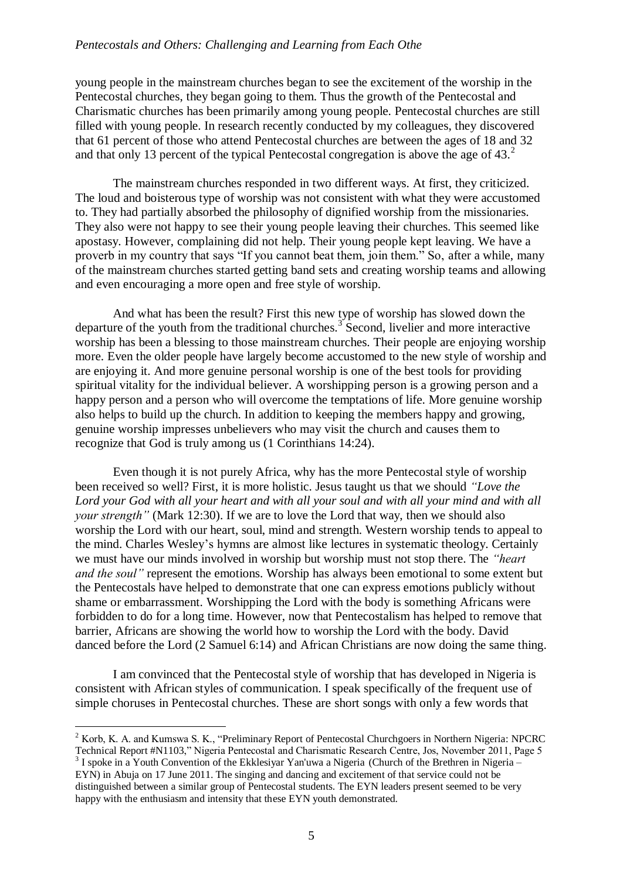#### *Pentecostals and Others: Challenging and Learning from Each Othe*

young people in the mainstream churches began to see the excitement of the worship in the Pentecostal churches, they began going to them. Thus the growth of the Pentecostal and Charismatic churches has been primarily among young people. Pentecostal churches are still filled with young people. In research recently conducted by my colleagues, they discovered that 61 percent of those who attend Pentecostal churches are between the ages of 18 and 32 and that only 13 percent of the typical Pentecostal congregation is above the age of  $43<sup>2</sup>$ .

The mainstream churches responded in two different ways. At first, they criticized. The loud and boisterous type of worship was not consistent with what they were accustomed to. They had partially absorbed the philosophy of dignified worship from the missionaries. They also were not happy to see their young people leaving their churches. This seemed like apostasy. However, complaining did not help. Their young people kept leaving. We have a proverb in my country that says "If you cannot beat them, join them." So, after a while, many of the mainstream churches started getting band sets and creating worship teams and allowing and even encouraging a more open and free style of worship.

And what has been the result? First this new type of worship has slowed down the departure of the youth from the traditional churches.<sup>3</sup> Second, livelier and more interactive worship has been a blessing to those mainstream churches. Their people are enjoying worship more. Even the older people have largely become accustomed to the new style of worship and are enjoying it. And more genuine personal worship is one of the best tools for providing spiritual vitality for the individual believer. A worshipping person is a growing person and a happy person and a person who will overcome the temptations of life. More genuine worship also helps to build up the church. In addition to keeping the members happy and growing, genuine worship impresses unbelievers who may visit the church and causes them to recognize that God is truly among us (1 Corinthians 14:24).

Even though it is not purely Africa, why has the more Pentecostal style of worship been received so well? First, it is more holistic. Jesus taught us that we should *"Love the Lord your God with all your heart and with all your soul and with all your mind and with all your strength"* (Mark 12:30). If we are to love the Lord that way, then we should also worship the Lord with our heart, soul, mind and strength. Western worship tends to appeal to the mind. Charles Wesley's hymns are almost like lectures in systematic theology. Certainly we must have our minds involved in worship but worship must not stop there. The *"heart and the soul"* represent the emotions. Worship has always been emotional to some extent but the Pentecostals have helped to demonstrate that one can express emotions publicly without shame or embarrassment. Worshipping the Lord with the body is something Africans were forbidden to do for a long time. However, now that Pentecostalism has helped to remove that barrier, Africans are showing the world how to worship the Lord with the body. David danced before the Lord (2 Samuel 6:14) and African Christians are now doing the same thing.

I am convinced that the Pentecostal style of worship that has developed in Nigeria is consistent with African styles of communication. I speak specifically of the frequent use of simple choruses in Pentecostal churches. These are short songs with only a few words that

1

<sup>2</sup> Korb, K. A. and Kumswa S. K., "Preliminary Report of Pentecostal Churchgoers in Northern Nigeria: NPCRC Technical Report #N1103," Nigeria Pentecostal and Charismatic Research Centre, Jos, November 2011, Page 5

 $3$  I spoke in a Youth Convention of the Ekklesiyar Yan'uwa a Nigeria (Church of the Brethren in Nigeria – EYN) in Abuja on 17 June 2011. The singing and dancing and excitement of that service could not be distinguished between a similar group of Pentecostal students. The EYN leaders present seemed to be very happy with the enthusiasm and intensity that these EYN youth demonstrated.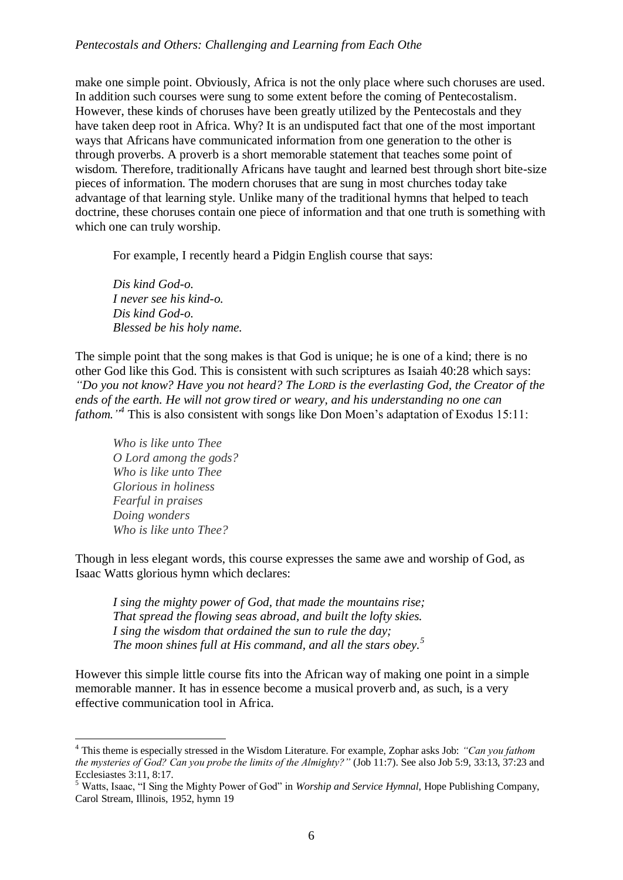make one simple point. Obviously, Africa is not the only place where such choruses are used. In addition such courses were sung to some extent before the coming of Pentecostalism. However, these kinds of choruses have been greatly utilized by the Pentecostals and they have taken deep root in Africa. Why? It is an undisputed fact that one of the most important ways that Africans have communicated information from one generation to the other is through proverbs. A proverb is a short memorable statement that teaches some point of wisdom. Therefore, traditionally Africans have taught and learned best through short bite-size pieces of information. The modern choruses that are sung in most churches today take advantage of that learning style. Unlike many of the traditional hymns that helped to teach doctrine, these choruses contain one piece of information and that one truth is something with which one can truly worship.

For example, I recently heard a Pidgin English course that says:

*Dis kind God-o. I never see his kind-o. Dis kind God-o. Blessed be his holy name.*

The simple point that the song makes is that God is unique; he is one of a kind; there is no other God like this God. This is consistent with such scriptures as Isaiah 40:28 which says: *"Do you not know? Have you not heard? The LORD is the everlasting God, the Creator of the ends of the earth. He will not grow tired or weary, and his understanding no one can fathom." 4* This is also consistent with songs like Don Moen's adaptation of Exodus 15:11:

*Who is like unto Thee O Lord among the gods? Who is like unto Thee Glorious in holiness Fearful in praises Doing wonders Who is like unto Thee?*

Though in less elegant words, this course expresses the same awe and worship of God, as Isaac Watts glorious hymn which declares:

*I sing the mighty power of God, that made the mountains rise; That spread the flowing seas abroad, and built the lofty skies. I sing the wisdom that ordained the sun to rule the day; The moon shines full at His command, and all the stars obey.<sup>5</sup>*

However this simple little course fits into the African way of making one point in a simple memorable manner. It has in essence become a musical proverb and, as such, is a very effective communication tool in Africa.

<sup>1</sup> <sup>4</sup> This theme is especially stressed in the Wisdom Literature. For example, Zophar asks Job: *"Can you fathom the mysteries of God? Can you probe the limits of the Almighty?"* (Job 11:7). See also Job 5:9, 33:13, 37:23 and Ecclesiastes 3:11, 8:17.

<sup>5</sup> Watts, Isaac, "I Sing the Mighty Power of God" in *Worship and Service Hymnal*, Hope Publishing Company, Carol Stream, Illinois, 1952, hymn 19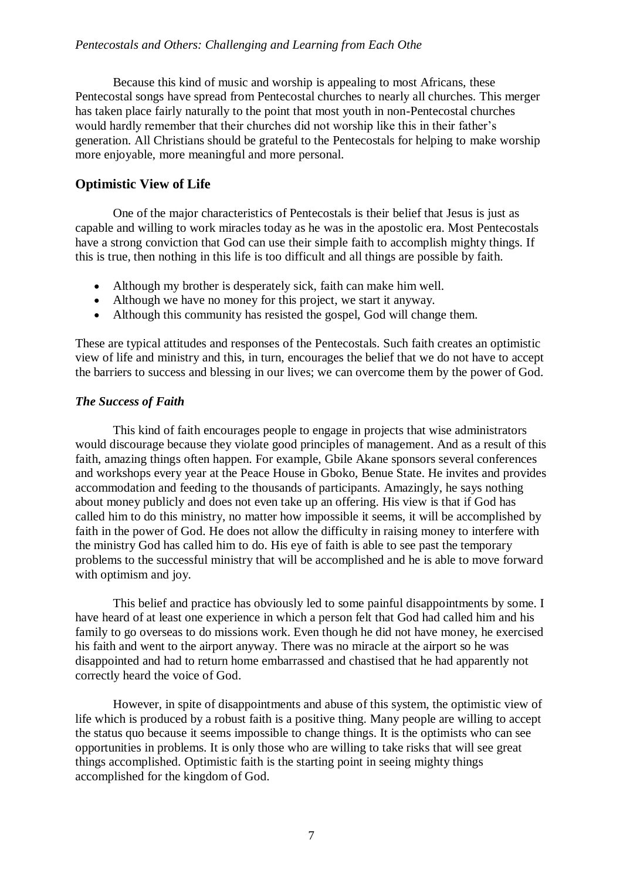Because this kind of music and worship is appealing to most Africans, these Pentecostal songs have spread from Pentecostal churches to nearly all churches. This merger has taken place fairly naturally to the point that most youth in non-Pentecostal churches would hardly remember that their churches did not worship like this in their father's generation. All Christians should be grateful to the Pentecostals for helping to make worship more enjoyable, more meaningful and more personal.

## **Optimistic View of Life**

One of the major characteristics of Pentecostals is their belief that Jesus is just as capable and willing to work miracles today as he was in the apostolic era. Most Pentecostals have a strong conviction that God can use their simple faith to accomplish mighty things. If this is true, then nothing in this life is too difficult and all things are possible by faith.

- Although my brother is desperately sick, faith can make him well.
- Although we have no money for this project, we start it anyway.
- Although this community has resisted the gospel, God will change them.

These are typical attitudes and responses of the Pentecostals. Such faith creates an optimistic view of life and ministry and this, in turn, encourages the belief that we do not have to accept the barriers to success and blessing in our lives; we can overcome them by the power of God.

## *The Success of Faith*

This kind of faith encourages people to engage in projects that wise administrators would discourage because they violate good principles of management. And as a result of this faith, amazing things often happen. For example, Gbile Akane sponsors several conferences and workshops every year at the Peace House in Gboko, Benue State. He invites and provides accommodation and feeding to the thousands of participants. Amazingly, he says nothing about money publicly and does not even take up an offering. His view is that if God has called him to do this ministry, no matter how impossible it seems, it will be accomplished by faith in the power of God. He does not allow the difficulty in raising money to interfere with the ministry God has called him to do. His eye of faith is able to see past the temporary problems to the successful ministry that will be accomplished and he is able to move forward with optimism and joy.

This belief and practice has obviously led to some painful disappointments by some. I have heard of at least one experience in which a person felt that God had called him and his family to go overseas to do missions work. Even though he did not have money, he exercised his faith and went to the airport anyway. There was no miracle at the airport so he was disappointed and had to return home embarrassed and chastised that he had apparently not correctly heard the voice of God.

However, in spite of disappointments and abuse of this system, the optimistic view of life which is produced by a robust faith is a positive thing. Many people are willing to accept the status quo because it seems impossible to change things. It is the optimists who can see opportunities in problems. It is only those who are willing to take risks that will see great things accomplished. Optimistic faith is the starting point in seeing mighty things accomplished for the kingdom of God.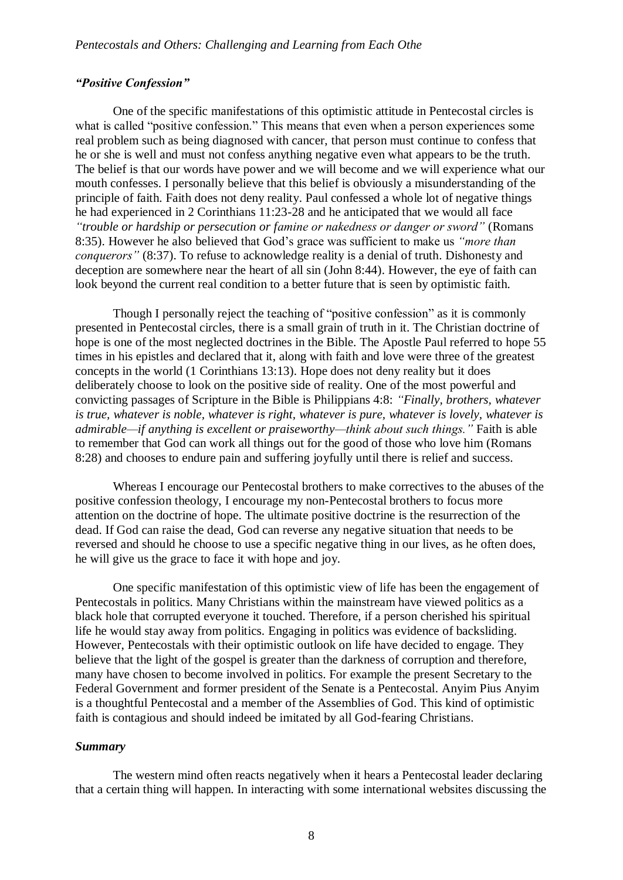#### *"Positive Confession"*

One of the specific manifestations of this optimistic attitude in Pentecostal circles is what is called "positive confession." This means that even when a person experiences some real problem such as being diagnosed with cancer, that person must continue to confess that he or she is well and must not confess anything negative even what appears to be the truth. The belief is that our words have power and we will become and we will experience what our mouth confesses. I personally believe that this belief is obviously a misunderstanding of the principle of faith. Faith does not deny reality. Paul confessed a whole lot of negative things he had experienced in 2 Corinthians 11:23-28 and he anticipated that we would all face *"trouble or hardship or persecution or famine or nakedness or danger or sword"* (Romans 8:35). However he also believed that God's grace was sufficient to make us *"more than conquerors"* (8:37). To refuse to acknowledge reality is a denial of truth. Dishonesty and deception are somewhere near the heart of all sin (John 8:44). However, the eye of faith can look beyond the current real condition to a better future that is seen by optimistic faith.

Though I personally reject the teaching of "positive confession" as it is commonly presented in Pentecostal circles, there is a small grain of truth in it. The Christian doctrine of hope is one of the most neglected doctrines in the Bible. The Apostle Paul referred to hope 55 times in his epistles and declared that it, along with faith and love were three of the greatest concepts in the world (1 Corinthians 13:13). Hope does not deny reality but it does deliberately choose to look on the positive side of reality. One of the most powerful and convicting passages of Scripture in the Bible is Philippians 4:8: *"Finally, brothers, whatever is true, whatever is noble, whatever is right, whatever is pure, whatever is lovely, whatever is admirable—if anything is excellent or praiseworthy—think about such things."* Faith is able to remember that God can work all things out for the good of those who love him (Romans 8:28) and chooses to endure pain and suffering joyfully until there is relief and success.

Whereas I encourage our Pentecostal brothers to make correctives to the abuses of the positive confession theology, I encourage my non-Pentecostal brothers to focus more attention on the doctrine of hope. The ultimate positive doctrine is the resurrection of the dead. If God can raise the dead, God can reverse any negative situation that needs to be reversed and should he choose to use a specific negative thing in our lives, as he often does, he will give us the grace to face it with hope and joy.

One specific manifestation of this optimistic view of life has been the engagement of Pentecostals in politics. Many Christians within the mainstream have viewed politics as a black hole that corrupted everyone it touched. Therefore, if a person cherished his spiritual life he would stay away from politics. Engaging in politics was evidence of backsliding. However, Pentecostals with their optimistic outlook on life have decided to engage. They believe that the light of the gospel is greater than the darkness of corruption and therefore, many have chosen to become involved in politics. For example the present Secretary to the Federal Government and former president of the Senate is a Pentecostal. Anyim Pius Anyim is a thoughtful Pentecostal and a member of the Assemblies of God. This kind of optimistic faith is contagious and should indeed be imitated by all God-fearing Christians.

#### *Summary*

The western mind often reacts negatively when it hears a Pentecostal leader declaring that a certain thing will happen. In interacting with some international websites discussing the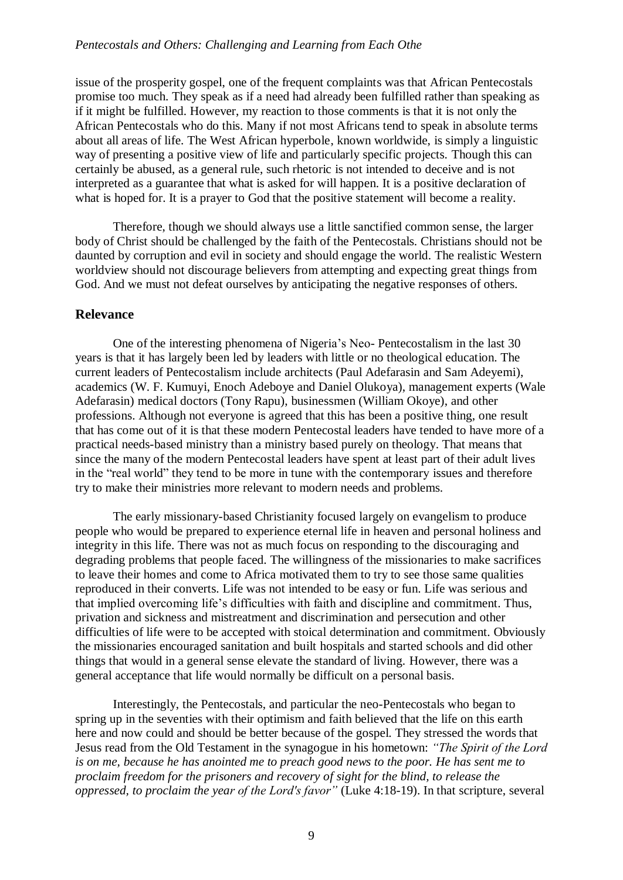issue of the prosperity gospel, one of the frequent complaints was that African Pentecostals promise too much. They speak as if a need had already been fulfilled rather than speaking as if it might be fulfilled. However, my reaction to those comments is that it is not only the African Pentecostals who do this. Many if not most Africans tend to speak in absolute terms about all areas of life. The West African hyperbole, known worldwide, is simply a linguistic way of presenting a positive view of life and particularly specific projects. Though this can certainly be abused, as a general rule, such rhetoric is not intended to deceive and is not interpreted as a guarantee that what is asked for will happen. It is a positive declaration of what is hoped for. It is a prayer to God that the positive statement will become a reality.

Therefore, though we should always use a little sanctified common sense, the larger body of Christ should be challenged by the faith of the Pentecostals. Christians should not be daunted by corruption and evil in society and should engage the world. The realistic Western worldview should not discourage believers from attempting and expecting great things from God. And we must not defeat ourselves by anticipating the negative responses of others.

#### **Relevance**

One of the interesting phenomena of Nigeria's Neo- Pentecostalism in the last 30 years is that it has largely been led by leaders with little or no theological education. The current leaders of Pentecostalism include architects (Paul Adefarasin and Sam Adeyemi), academics (W. F. Kumuyi, Enoch Adeboye and Daniel Olukoya), management experts (Wale Adefarasin) medical doctors (Tony Rapu), businessmen (William Okoye), and other professions. Although not everyone is agreed that this has been a positive thing, one result that has come out of it is that these modern Pentecostal leaders have tended to have more of a practical needs-based ministry than a ministry based purely on theology. That means that since the many of the modern Pentecostal leaders have spent at least part of their adult lives in the "real world" they tend to be more in tune with the contemporary issues and therefore try to make their ministries more relevant to modern needs and problems.

The early missionary-based Christianity focused largely on evangelism to produce people who would be prepared to experience eternal life in heaven and personal holiness and integrity in this life. There was not as much focus on responding to the discouraging and degrading problems that people faced. The willingness of the missionaries to make sacrifices to leave their homes and come to Africa motivated them to try to see those same qualities reproduced in their converts. Life was not intended to be easy or fun. Life was serious and that implied overcoming life's difficulties with faith and discipline and commitment. Thus, privation and sickness and mistreatment and discrimination and persecution and other difficulties of life were to be accepted with stoical determination and commitment. Obviously the missionaries encouraged sanitation and built hospitals and started schools and did other things that would in a general sense elevate the standard of living. However, there was a general acceptance that life would normally be difficult on a personal basis.

Interestingly, the Pentecostals, and particular the neo-Pentecostals who began to spring up in the seventies with their optimism and faith believed that the life on this earth here and now could and should be better because of the gospel. They stressed the words that Jesus read from the Old Testament in the synagogue in his hometown: *"The Spirit of the Lord is on me, because he has anointed me to preach good news to the poor. He has sent me to proclaim freedom for the prisoners and recovery of sight for the blind, to release the oppressed, to proclaim the year of the Lord's favor"* (Luke 4:18-19). In that scripture, several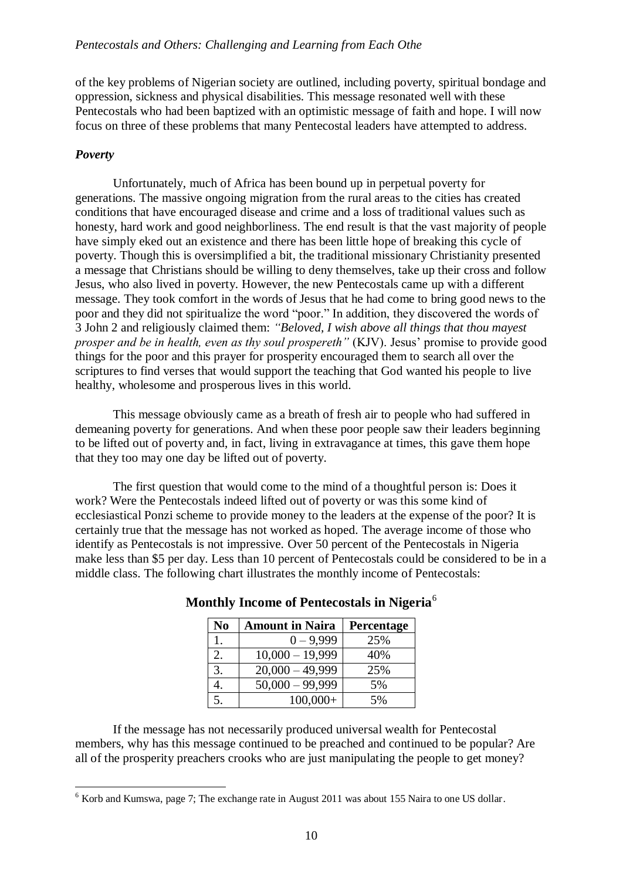of the key problems of Nigerian society are outlined, including poverty, spiritual bondage and oppression, sickness and physical disabilities. This message resonated well with these Pentecostals who had been baptized with an optimistic message of faith and hope. I will now focus on three of these problems that many Pentecostal leaders have attempted to address.

### *Poverty*

<u>.</u>

Unfortunately, much of Africa has been bound up in perpetual poverty for generations. The massive ongoing migration from the rural areas to the cities has created conditions that have encouraged disease and crime and a loss of traditional values such as honesty, hard work and good neighborliness. The end result is that the vast majority of people have simply eked out an existence and there has been little hope of breaking this cycle of poverty. Though this is oversimplified a bit, the traditional missionary Christianity presented a message that Christians should be willing to deny themselves, take up their cross and follow Jesus, who also lived in poverty. However, the new Pentecostals came up with a different message. They took comfort in the words of Jesus that he had come to bring good news to the poor and they did not spiritualize the word "poor." In addition, they discovered the words of 3 John 2 and religiously claimed them: *"Beloved, I wish above all things that thou mayest prosper and be in health, even as thy soul prospereth"* (KJV). Jesus' promise to provide good things for the poor and this prayer for prosperity encouraged them to search all over the scriptures to find verses that would support the teaching that God wanted his people to live healthy, wholesome and prosperous lives in this world.

This message obviously came as a breath of fresh air to people who had suffered in demeaning poverty for generations. And when these poor people saw their leaders beginning to be lifted out of poverty and, in fact, living in extravagance at times, this gave them hope that they too may one day be lifted out of poverty.

The first question that would come to the mind of a thoughtful person is: Does it work? Were the Pentecostals indeed lifted out of poverty or was this some kind of ecclesiastical Ponzi scheme to provide money to the leaders at the expense of the poor? It is certainly true that the message has not worked as hoped. The average income of those who identify as Pentecostals is not impressive. Over 50 percent of the Pentecostals in Nigeria make less than \$5 per day. Less than 10 percent of Pentecostals could be considered to be in a middle class. The following chart illustrates the monthly income of Pentecostals:

| N <sub>0</sub> | <b>Amount in Naira</b> | Percentage |
|----------------|------------------------|------------|
|                | $0 - 9,999$            | 25%        |
|                | $10,000 - 19,999$      | 40%        |
| 3.             | $20,000 - 49,999$      | 25%        |
|                | $50,000 - 99,999$      | 5%         |
| 5.             | $100,000+$             | 5%         |

## **Monthly Income of Pentecostals in Nigeria**<sup>6</sup>

If the message has not necessarily produced universal wealth for Pentecostal members, why has this message continued to be preached and continued to be popular? Are all of the prosperity preachers crooks who are just manipulating the people to get money?

 $6$  Korb and Kumswa, page 7; The exchange rate in August 2011 was about 155 Naira to one US dollar.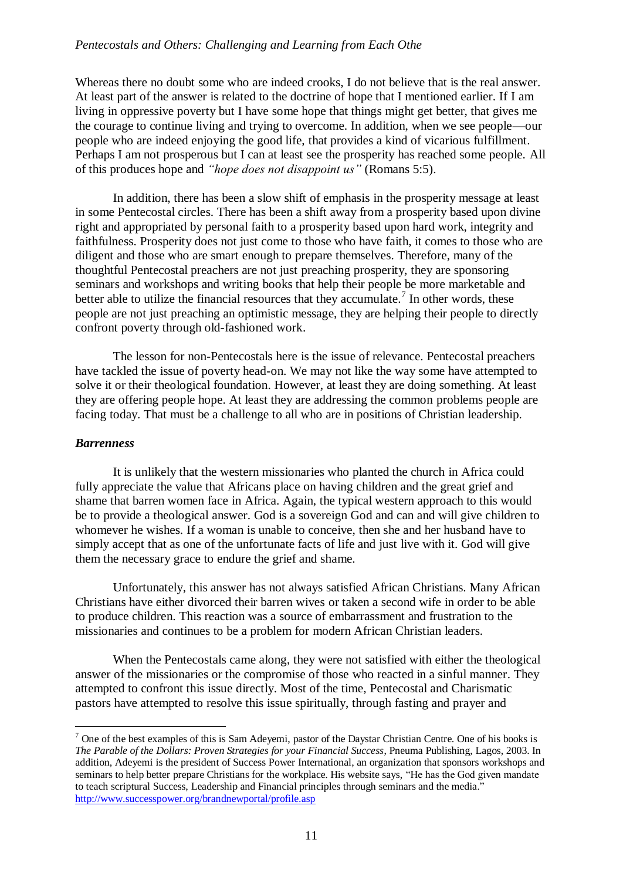#### *Pentecostals and Others: Challenging and Learning from Each Othe*

Whereas there no doubt some who are indeed crooks, I do not believe that is the real answer. At least part of the answer is related to the doctrine of hope that I mentioned earlier. If I am living in oppressive poverty but I have some hope that things might get better, that gives me the courage to continue living and trying to overcome. In addition, when we see people—our people who are indeed enjoying the good life, that provides a kind of vicarious fulfillment. Perhaps I am not prosperous but I can at least see the prosperity has reached some people. All of this produces hope and *"hope does not disappoint us"* (Romans 5:5).

In addition, there has been a slow shift of emphasis in the prosperity message at least in some Pentecostal circles. There has been a shift away from a prosperity based upon divine right and appropriated by personal faith to a prosperity based upon hard work, integrity and faithfulness. Prosperity does not just come to those who have faith, it comes to those who are diligent and those who are smart enough to prepare themselves. Therefore, many of the thoughtful Pentecostal preachers are not just preaching prosperity, they are sponsoring seminars and workshops and writing books that help their people be more marketable and better able to utilize the financial resources that they accumulate.<sup>7</sup> In other words, these people are not just preaching an optimistic message, they are helping their people to directly confront poverty through old-fashioned work.

The lesson for non-Pentecostals here is the issue of relevance. Pentecostal preachers have tackled the issue of poverty head-on. We may not like the way some have attempted to solve it or their theological foundation. However, at least they are doing something. At least they are offering people hope. At least they are addressing the common problems people are facing today. That must be a challenge to all who are in positions of Christian leadership.

#### *Barrenness*

1

It is unlikely that the western missionaries who planted the church in Africa could fully appreciate the value that Africans place on having children and the great grief and shame that barren women face in Africa. Again, the typical western approach to this would be to provide a theological answer. God is a sovereign God and can and will give children to whomever he wishes. If a woman is unable to conceive, then she and her husband have to simply accept that as one of the unfortunate facts of life and just live with it. God will give them the necessary grace to endure the grief and shame.

Unfortunately, this answer has not always satisfied African Christians. Many African Christians have either divorced their barren wives or taken a second wife in order to be able to produce children. This reaction was a source of embarrassment and frustration to the missionaries and continues to be a problem for modern African Christian leaders.

When the Pentecostals came along, they were not satisfied with either the theological answer of the missionaries or the compromise of those who reacted in a sinful manner. They attempted to confront this issue directly. Most of the time, Pentecostal and Charismatic pastors have attempted to resolve this issue spiritually, through fasting and prayer and

 $<sup>7</sup>$  One of the best examples of this is Sam Adeyemi, pastor of the Daystar Christian Centre. One of his books is</sup> *The Parable of the Dollars: Proven Strategies for your Financial Success*, Pneuma Publishing, Lagos, 2003. In addition, Adeyemi is the president of Success Power International, an organization that sponsors workshops and seminars to help better prepare Christians for the workplace. His website says, "He has the God given mandate to teach scriptural Success, Leadership and Financial principles through seminars and the media." <http://www.successpower.org/brandnewportal/profile.asp>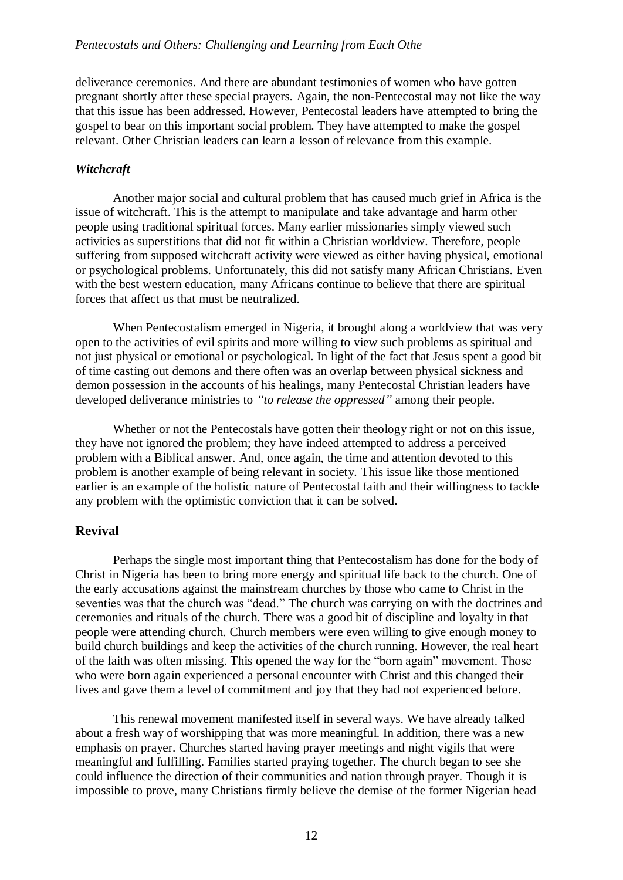deliverance ceremonies. And there are abundant testimonies of women who have gotten pregnant shortly after these special prayers. Again, the non-Pentecostal may not like the way that this issue has been addressed. However, Pentecostal leaders have attempted to bring the gospel to bear on this important social problem. They have attempted to make the gospel relevant. Other Christian leaders can learn a lesson of relevance from this example.

### *Witchcraft*

Another major social and cultural problem that has caused much grief in Africa is the issue of witchcraft. This is the attempt to manipulate and take advantage and harm other people using traditional spiritual forces. Many earlier missionaries simply viewed such activities as superstitions that did not fit within a Christian worldview. Therefore, people suffering from supposed witchcraft activity were viewed as either having physical, emotional or psychological problems. Unfortunately, this did not satisfy many African Christians. Even with the best western education, many Africans continue to believe that there are spiritual forces that affect us that must be neutralized.

When Pentecostalism emerged in Nigeria, it brought along a worldview that was very open to the activities of evil spirits and more willing to view such problems as spiritual and not just physical or emotional or psychological. In light of the fact that Jesus spent a good bit of time casting out demons and there often was an overlap between physical sickness and demon possession in the accounts of his healings, many Pentecostal Christian leaders have developed deliverance ministries to *"to release the oppressed"* among their people.

Whether or not the Pentecostals have gotten their theology right or not on this issue, they have not ignored the problem; they have indeed attempted to address a perceived problem with a Biblical answer. And, once again, the time and attention devoted to this problem is another example of being relevant in society. This issue like those mentioned earlier is an example of the holistic nature of Pentecostal faith and their willingness to tackle any problem with the optimistic conviction that it can be solved.

## **Revival**

Perhaps the single most important thing that Pentecostalism has done for the body of Christ in Nigeria has been to bring more energy and spiritual life back to the church. One of the early accusations against the mainstream churches by those who came to Christ in the seventies was that the church was "dead." The church was carrying on with the doctrines and ceremonies and rituals of the church. There was a good bit of discipline and loyalty in that people were attending church. Church members were even willing to give enough money to build church buildings and keep the activities of the church running. However, the real heart of the faith was often missing. This opened the way for the "born again" movement. Those who were born again experienced a personal encounter with Christ and this changed their lives and gave them a level of commitment and joy that they had not experienced before.

This renewal movement manifested itself in several ways. We have already talked about a fresh way of worshipping that was more meaningful. In addition, there was a new emphasis on prayer. Churches started having prayer meetings and night vigils that were meaningful and fulfilling. Families started praying together. The church began to see she could influence the direction of their communities and nation through prayer. Though it is impossible to prove, many Christians firmly believe the demise of the former Nigerian head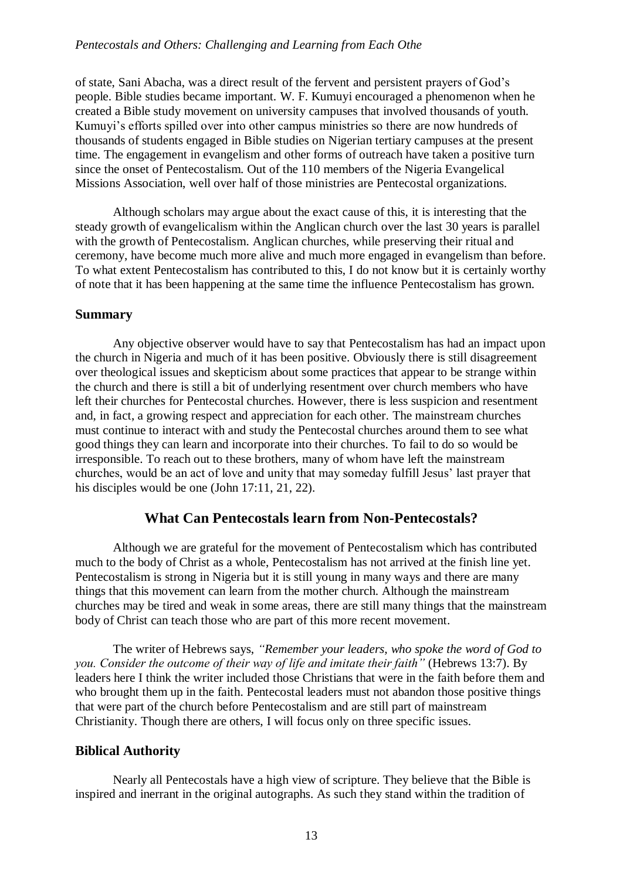of state, Sani Abacha, was a direct result of the fervent and persistent prayers of God's people. Bible studies became important. W. F. Kumuyi encouraged a phenomenon when he created a Bible study movement on university campuses that involved thousands of youth. Kumuyi's efforts spilled over into other campus ministries so there are now hundreds of thousands of students engaged in Bible studies on Nigerian tertiary campuses at the present time. The engagement in evangelism and other forms of outreach have taken a positive turn since the onset of Pentecostalism. Out of the 110 members of the Nigeria Evangelical Missions Association, well over half of those ministries are Pentecostal organizations.

Although scholars may argue about the exact cause of this, it is interesting that the steady growth of evangelicalism within the Anglican church over the last 30 years is parallel with the growth of Pentecostalism. Anglican churches, while preserving their ritual and ceremony, have become much more alive and much more engaged in evangelism than before. To what extent Pentecostalism has contributed to this, I do not know but it is certainly worthy of note that it has been happening at the same time the influence Pentecostalism has grown.

#### **Summary**

Any objective observer would have to say that Pentecostalism has had an impact upon the church in Nigeria and much of it has been positive. Obviously there is still disagreement over theological issues and skepticism about some practices that appear to be strange within the church and there is still a bit of underlying resentment over church members who have left their churches for Pentecostal churches. However, there is less suspicion and resentment and, in fact, a growing respect and appreciation for each other. The mainstream churches must continue to interact with and study the Pentecostal churches around them to see what good things they can learn and incorporate into their churches. To fail to do so would be irresponsible. To reach out to these brothers, many of whom have left the mainstream churches, would be an act of love and unity that may someday fulfill Jesus' last prayer that his disciples would be one (John 17:11, 21, 22).

## **What Can Pentecostals learn from Non-Pentecostals?**

Although we are grateful for the movement of Pentecostalism which has contributed much to the body of Christ as a whole, Pentecostalism has not arrived at the finish line yet. Pentecostalism is strong in Nigeria but it is still young in many ways and there are many things that this movement can learn from the mother church. Although the mainstream churches may be tired and weak in some areas, there are still many things that the mainstream body of Christ can teach those who are part of this more recent movement.

The writer of Hebrews says, *"Remember your leaders, who spoke the word of God to you. Consider the outcome of their way of life and imitate their faith"* (Hebrews 13:7). By leaders here I think the writer included those Christians that were in the faith before them and who brought them up in the faith. Pentecostal leaders must not abandon those positive things that were part of the church before Pentecostalism and are still part of mainstream Christianity. Though there are others, I will focus only on three specific issues.

## **Biblical Authority**

Nearly all Pentecostals have a high view of scripture. They believe that the Bible is inspired and inerrant in the original autographs. As such they stand within the tradition of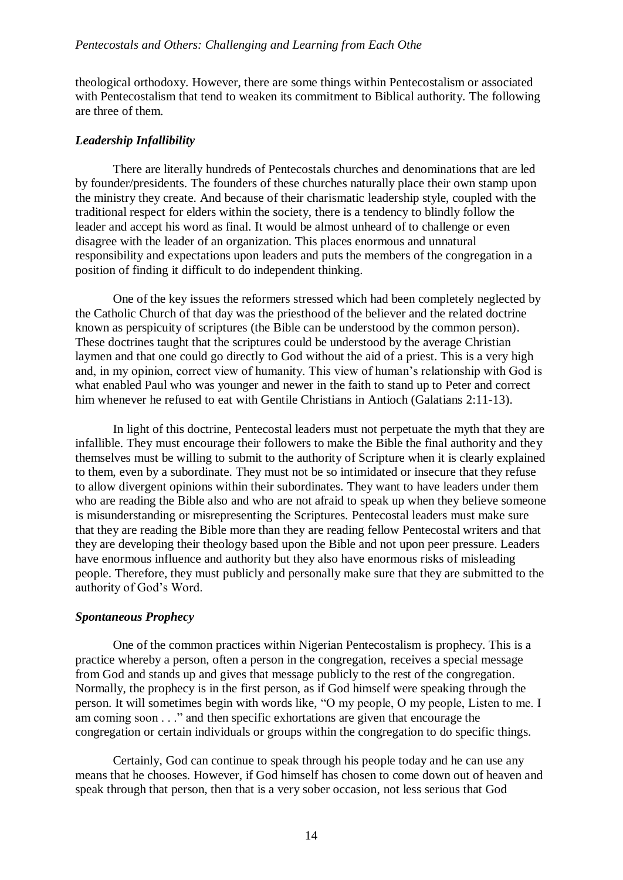theological orthodoxy. However, there are some things within Pentecostalism or associated with Pentecostalism that tend to weaken its commitment to Biblical authority. The following are three of them.

#### *Leadership Infallibility*

There are literally hundreds of Pentecostals churches and denominations that are led by founder/presidents. The founders of these churches naturally place their own stamp upon the ministry they create. And because of their charismatic leadership style, coupled with the traditional respect for elders within the society, there is a tendency to blindly follow the leader and accept his word as final. It would be almost unheard of to challenge or even disagree with the leader of an organization. This places enormous and unnatural responsibility and expectations upon leaders and puts the members of the congregation in a position of finding it difficult to do independent thinking.

One of the key issues the reformers stressed which had been completely neglected by the Catholic Church of that day was the priesthood of the believer and the related doctrine known as perspicuity of scriptures (the Bible can be understood by the common person). These doctrines taught that the scriptures could be understood by the average Christian laymen and that one could go directly to God without the aid of a priest. This is a very high and, in my opinion, correct view of humanity. This view of human's relationship with God is what enabled Paul who was younger and newer in the faith to stand up to Peter and correct him whenever he refused to eat with Gentile Christians in Antioch (Galatians 2:11-13).

In light of this doctrine, Pentecostal leaders must not perpetuate the myth that they are infallible. They must encourage their followers to make the Bible the final authority and they themselves must be willing to submit to the authority of Scripture when it is clearly explained to them, even by a subordinate. They must not be so intimidated or insecure that they refuse to allow divergent opinions within their subordinates. They want to have leaders under them who are reading the Bible also and who are not afraid to speak up when they believe someone is misunderstanding or misrepresenting the Scriptures. Pentecostal leaders must make sure that they are reading the Bible more than they are reading fellow Pentecostal writers and that they are developing their theology based upon the Bible and not upon peer pressure. Leaders have enormous influence and authority but they also have enormous risks of misleading people. Therefore, they must publicly and personally make sure that they are submitted to the authority of God's Word.

## *Spontaneous Prophecy*

One of the common practices within Nigerian Pentecostalism is prophecy. This is a practice whereby a person, often a person in the congregation, receives a special message from God and stands up and gives that message publicly to the rest of the congregation. Normally, the prophecy is in the first person, as if God himself were speaking through the person. It will sometimes begin with words like, "O my people, O my people, Listen to me. I am coming soon . . ." and then specific exhortations are given that encourage the congregation or certain individuals or groups within the congregation to do specific things.

Certainly, God can continue to speak through his people today and he can use any means that he chooses. However, if God himself has chosen to come down out of heaven and speak through that person, then that is a very sober occasion, not less serious that God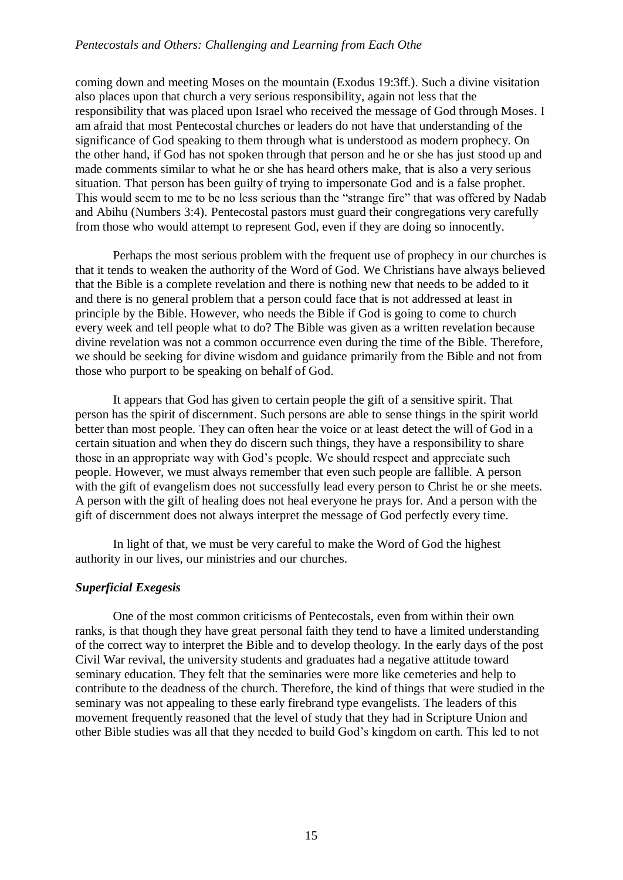#### *Pentecostals and Others: Challenging and Learning from Each Othe*

coming down and meeting Moses on the mountain (Exodus 19:3ff.). Such a divine visitation also places upon that church a very serious responsibility, again not less that the responsibility that was placed upon Israel who received the message of God through Moses. I am afraid that most Pentecostal churches or leaders do not have that understanding of the significance of God speaking to them through what is understood as modern prophecy. On the other hand, if God has not spoken through that person and he or she has just stood up and made comments similar to what he or she has heard others make, that is also a very serious situation. That person has been guilty of trying to impersonate God and is a false prophet. This would seem to me to be no less serious than the "strange fire" that was offered by Nadab and Abihu (Numbers 3:4). Pentecostal pastors must guard their congregations very carefully from those who would attempt to represent God, even if they are doing so innocently.

Perhaps the most serious problem with the frequent use of prophecy in our churches is that it tends to weaken the authority of the Word of God. We Christians have always believed that the Bible is a complete revelation and there is nothing new that needs to be added to it and there is no general problem that a person could face that is not addressed at least in principle by the Bible. However, who needs the Bible if God is going to come to church every week and tell people what to do? The Bible was given as a written revelation because divine revelation was not a common occurrence even during the time of the Bible. Therefore, we should be seeking for divine wisdom and guidance primarily from the Bible and not from those who purport to be speaking on behalf of God.

It appears that God has given to certain people the gift of a sensitive spirit. That person has the spirit of discernment. Such persons are able to sense things in the spirit world better than most people. They can often hear the voice or at least detect the will of God in a certain situation and when they do discern such things, they have a responsibility to share those in an appropriate way with God's people. We should respect and appreciate such people. However, we must always remember that even such people are fallible. A person with the gift of evangelism does not successfully lead every person to Christ he or she meets. A person with the gift of healing does not heal everyone he prays for. And a person with the gift of discernment does not always interpret the message of God perfectly every time.

In light of that, we must be very careful to make the Word of God the highest authority in our lives, our ministries and our churches.

#### *Superficial Exegesis*

One of the most common criticisms of Pentecostals, even from within their own ranks, is that though they have great personal faith they tend to have a limited understanding of the correct way to interpret the Bible and to develop theology. In the early days of the post Civil War revival, the university students and graduates had a negative attitude toward seminary education. They felt that the seminaries were more like cemeteries and help to contribute to the deadness of the church. Therefore, the kind of things that were studied in the seminary was not appealing to these early firebrand type evangelists. The leaders of this movement frequently reasoned that the level of study that they had in Scripture Union and other Bible studies was all that they needed to build God's kingdom on earth. This led to not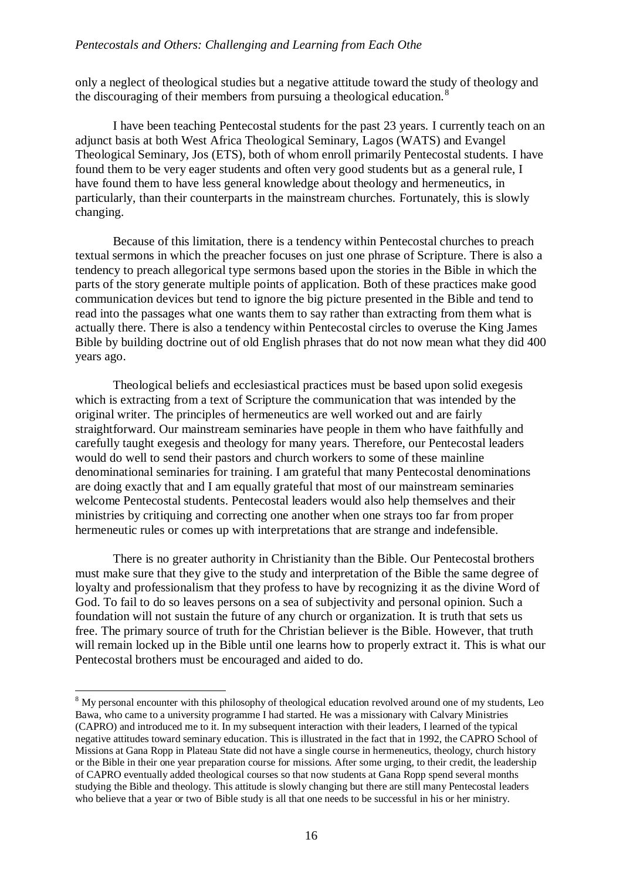only a neglect of theological studies but a negative attitude toward the study of theology and the discouraging of their members from pursuing a theological education.<sup>8</sup>

I have been teaching Pentecostal students for the past 23 years. I currently teach on an adjunct basis at both West Africa Theological Seminary, Lagos (WATS) and Evangel Theological Seminary, Jos (ETS), both of whom enroll primarily Pentecostal students. I have found them to be very eager students and often very good students but as a general rule, I have found them to have less general knowledge about theology and hermeneutics, in particularly, than their counterparts in the mainstream churches. Fortunately, this is slowly changing.

Because of this limitation, there is a tendency within Pentecostal churches to preach textual sermons in which the preacher focuses on just one phrase of Scripture. There is also a tendency to preach allegorical type sermons based upon the stories in the Bible in which the parts of the story generate multiple points of application. Both of these practices make good communication devices but tend to ignore the big picture presented in the Bible and tend to read into the passages what one wants them to say rather than extracting from them what is actually there. There is also a tendency within Pentecostal circles to overuse the King James Bible by building doctrine out of old English phrases that do not now mean what they did 400 years ago.

Theological beliefs and ecclesiastical practices must be based upon solid exegesis which is extracting from a text of Scripture the communication that was intended by the original writer. The principles of hermeneutics are well worked out and are fairly straightforward. Our mainstream seminaries have people in them who have faithfully and carefully taught exegesis and theology for many years. Therefore, our Pentecostal leaders would do well to send their pastors and church workers to some of these mainline denominational seminaries for training. I am grateful that many Pentecostal denominations are doing exactly that and I am equally grateful that most of our mainstream seminaries welcome Pentecostal students. Pentecostal leaders would also help themselves and their ministries by critiquing and correcting one another when one strays too far from proper hermeneutic rules or comes up with interpretations that are strange and indefensible.

There is no greater authority in Christianity than the Bible. Our Pentecostal brothers must make sure that they give to the study and interpretation of the Bible the same degree of loyalty and professionalism that they profess to have by recognizing it as the divine Word of God. To fail to do so leaves persons on a sea of subjectivity and personal opinion. Such a foundation will not sustain the future of any church or organization. It is truth that sets us free. The primary source of truth for the Christian believer is the Bible. However, that truth will remain locked up in the Bible until one learns how to properly extract it. This is what our Pentecostal brothers must be encouraged and aided to do.

1

<sup>&</sup>lt;sup>8</sup> My personal encounter with this philosophy of theological education revolved around one of my students, Leo Bawa, who came to a university programme I had started. He was a missionary with Calvary Ministries (CAPRO) and introduced me to it. In my subsequent interaction with their leaders, I learned of the typical negative attitudes toward seminary education. This is illustrated in the fact that in 1992, the CAPRO School of Missions at Gana Ropp in Plateau State did not have a single course in hermeneutics, theology, church history or the Bible in their one year preparation course for missions. After some urging, to their credit, the leadership of CAPRO eventually added theological courses so that now students at Gana Ropp spend several months studying the Bible and theology. This attitude is slowly changing but there are still many Pentecostal leaders who believe that a year or two of Bible study is all that one needs to be successful in his or her ministry.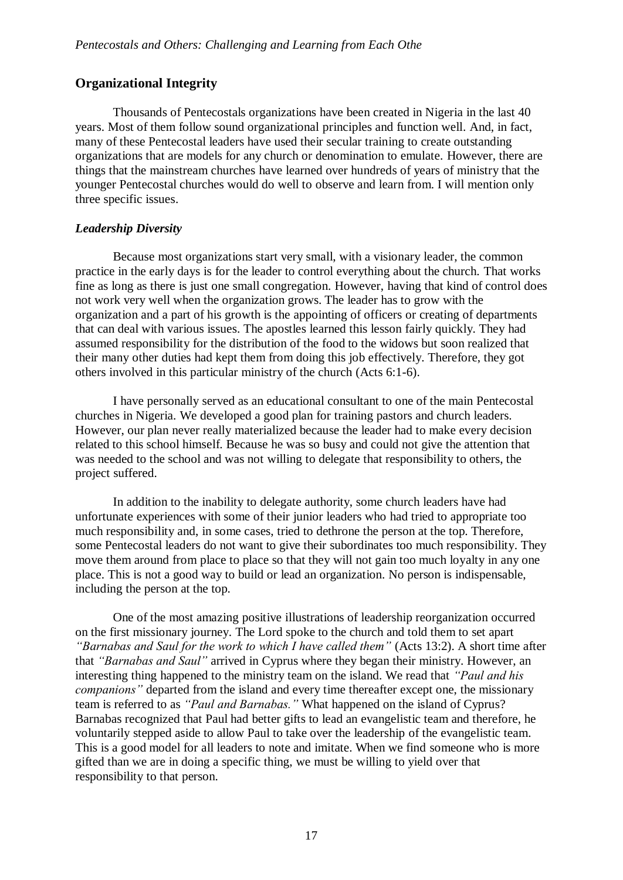## **Organizational Integrity**

Thousands of Pentecostals organizations have been created in Nigeria in the last 40 years. Most of them follow sound organizational principles and function well. And, in fact, many of these Pentecostal leaders have used their secular training to create outstanding organizations that are models for any church or denomination to emulate. However, there are things that the mainstream churches have learned over hundreds of years of ministry that the younger Pentecostal churches would do well to observe and learn from. I will mention only three specific issues.

#### *Leadership Diversity*

Because most organizations start very small, with a visionary leader, the common practice in the early days is for the leader to control everything about the church. That works fine as long as there is just one small congregation. However, having that kind of control does not work very well when the organization grows. The leader has to grow with the organization and a part of his growth is the appointing of officers or creating of departments that can deal with various issues. The apostles learned this lesson fairly quickly. They had assumed responsibility for the distribution of the food to the widows but soon realized that their many other duties had kept them from doing this job effectively. Therefore, they got others involved in this particular ministry of the church (Acts 6:1-6).

I have personally served as an educational consultant to one of the main Pentecostal churches in Nigeria. We developed a good plan for training pastors and church leaders. However, our plan never really materialized because the leader had to make every decision related to this school himself. Because he was so busy and could not give the attention that was needed to the school and was not willing to delegate that responsibility to others, the project suffered.

In addition to the inability to delegate authority, some church leaders have had unfortunate experiences with some of their junior leaders who had tried to appropriate too much responsibility and, in some cases, tried to dethrone the person at the top. Therefore, some Pentecostal leaders do not want to give their subordinates too much responsibility. They move them around from place to place so that they will not gain too much loyalty in any one place. This is not a good way to build or lead an organization. No person is indispensable, including the person at the top.

One of the most amazing positive illustrations of leadership reorganization occurred on the first missionary journey. The Lord spoke to the church and told them to set apart *"Barnabas and Saul for the work to which I have called them"* (Acts 13:2). A short time after that *"Barnabas and Saul"* arrived in Cyprus where they began their ministry. However, an interesting thing happened to the ministry team on the island. We read that *"Paul and his companions"* departed from the island and every time thereafter except one, the missionary team is referred to as *"Paul and Barnabas."* What happened on the island of Cyprus? Barnabas recognized that Paul had better gifts to lead an evangelistic team and therefore, he voluntarily stepped aside to allow Paul to take over the leadership of the evangelistic team. This is a good model for all leaders to note and imitate. When we find someone who is more gifted than we are in doing a specific thing, we must be willing to yield over that responsibility to that person.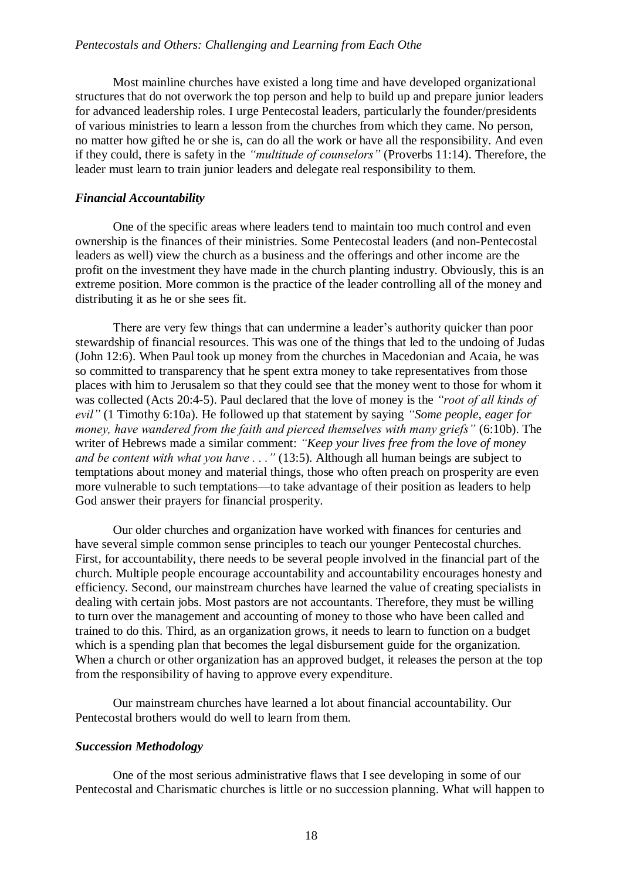Most mainline churches have existed a long time and have developed organizational structures that do not overwork the top person and help to build up and prepare junior leaders for advanced leadership roles. I urge Pentecostal leaders, particularly the founder/presidents of various ministries to learn a lesson from the churches from which they came. No person, no matter how gifted he or she is, can do all the work or have all the responsibility. And even if they could, there is safety in the *"multitude of counselors"* (Proverbs 11:14). Therefore, the leader must learn to train junior leaders and delegate real responsibility to them.

#### *Financial Accountability*

One of the specific areas where leaders tend to maintain too much control and even ownership is the finances of their ministries. Some Pentecostal leaders (and non-Pentecostal leaders as well) view the church as a business and the offerings and other income are the profit on the investment they have made in the church planting industry. Obviously, this is an extreme position. More common is the practice of the leader controlling all of the money and distributing it as he or she sees fit.

There are very few things that can undermine a leader's authority quicker than poor stewardship of financial resources. This was one of the things that led to the undoing of Judas (John 12:6). When Paul took up money from the churches in Macedonian and Acaia, he was so committed to transparency that he spent extra money to take representatives from those places with him to Jerusalem so that they could see that the money went to those for whom it was collected (Acts 20:4-5). Paul declared that the love of money is the *"root of all kinds of evil"* (1 Timothy 6:10a). He followed up that statement by saying *"Some people, eager for money, have wandered from the faith and pierced themselves with many griefs"* (6:10b). The writer of Hebrews made a similar comment: *"Keep your lives free from the love of money and be content with what you have . . ."* (13:5). Although all human beings are subject to temptations about money and material things, those who often preach on prosperity are even more vulnerable to such temptations—to take advantage of their position as leaders to help God answer their prayers for financial prosperity.

Our older churches and organization have worked with finances for centuries and have several simple common sense principles to teach our younger Pentecostal churches. First, for accountability, there needs to be several people involved in the financial part of the church. Multiple people encourage accountability and accountability encourages honesty and efficiency. Second, our mainstream churches have learned the value of creating specialists in dealing with certain jobs. Most pastors are not accountants. Therefore, they must be willing to turn over the management and accounting of money to those who have been called and trained to do this. Third, as an organization grows, it needs to learn to function on a budget which is a spending plan that becomes the legal disbursement guide for the organization. When a church or other organization has an approved budget, it releases the person at the top from the responsibility of having to approve every expenditure.

Our mainstream churches have learned a lot about financial accountability. Our Pentecostal brothers would do well to learn from them.

## *Succession Methodology*

One of the most serious administrative flaws that I see developing in some of our Pentecostal and Charismatic churches is little or no succession planning. What will happen to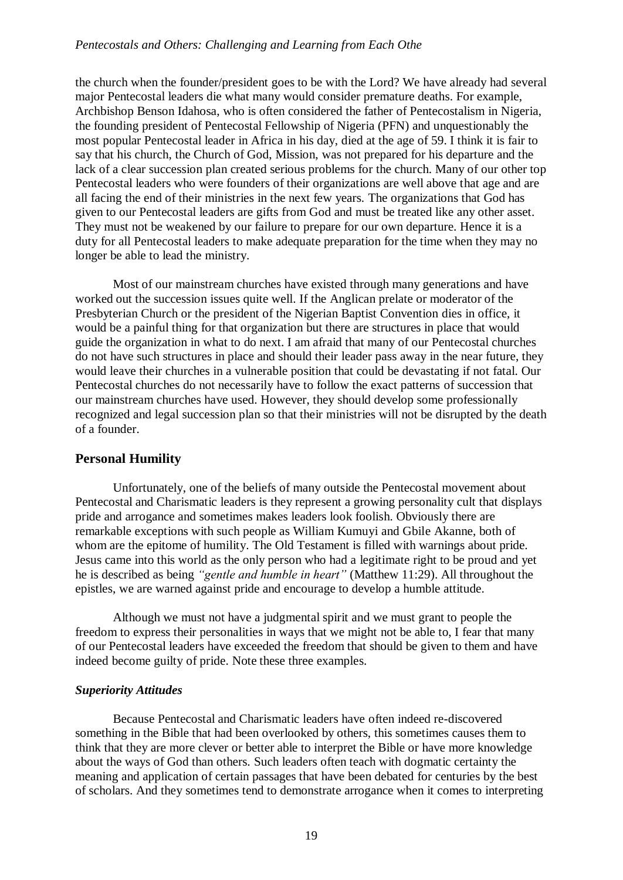the church when the founder/president goes to be with the Lord? We have already had several major Pentecostal leaders die what many would consider premature deaths. For example, Archbishop Benson Idahosa, who is often considered the father of Pentecostalism in Nigeria, the founding president of Pentecostal Fellowship of Nigeria (PFN) and unquestionably the most popular Pentecostal leader in Africa in his day, died at the age of 59. I think it is fair to say that his church, the Church of God, Mission, was not prepared for his departure and the lack of a clear succession plan created serious problems for the church. Many of our other top Pentecostal leaders who were founders of their organizations are well above that age and are all facing the end of their ministries in the next few years. The organizations that God has given to our Pentecostal leaders are gifts from God and must be treated like any other asset. They must not be weakened by our failure to prepare for our own departure. Hence it is a duty for all Pentecostal leaders to make adequate preparation for the time when they may no longer be able to lead the ministry.

Most of our mainstream churches have existed through many generations and have worked out the succession issues quite well. If the Anglican prelate or moderator of the Presbyterian Church or the president of the Nigerian Baptist Convention dies in office, it would be a painful thing for that organization but there are structures in place that would guide the organization in what to do next. I am afraid that many of our Pentecostal churches do not have such structures in place and should their leader pass away in the near future, they would leave their churches in a vulnerable position that could be devastating if not fatal. Our Pentecostal churches do not necessarily have to follow the exact patterns of succession that our mainstream churches have used. However, they should develop some professionally recognized and legal succession plan so that their ministries will not be disrupted by the death of a founder.

## **Personal Humility**

Unfortunately, one of the beliefs of many outside the Pentecostal movement about Pentecostal and Charismatic leaders is they represent a growing personality cult that displays pride and arrogance and sometimes makes leaders look foolish. Obviously there are remarkable exceptions with such people as William Kumuyi and Gbile Akanne, both of whom are the epitome of humility. The Old Testament is filled with warnings about pride. Jesus came into this world as the only person who had a legitimate right to be proud and yet he is described as being *"gentle and humble in heart"* (Matthew 11:29). All throughout the epistles, we are warned against pride and encourage to develop a humble attitude.

Although we must not have a judgmental spirit and we must grant to people the freedom to express their personalities in ways that we might not be able to, I fear that many of our Pentecostal leaders have exceeded the freedom that should be given to them and have indeed become guilty of pride. Note these three examples.

#### *Superiority Attitudes*

Because Pentecostal and Charismatic leaders have often indeed re-discovered something in the Bible that had been overlooked by others, this sometimes causes them to think that they are more clever or better able to interpret the Bible or have more knowledge about the ways of God than others. Such leaders often teach with dogmatic certainty the meaning and application of certain passages that have been debated for centuries by the best of scholars. And they sometimes tend to demonstrate arrogance when it comes to interpreting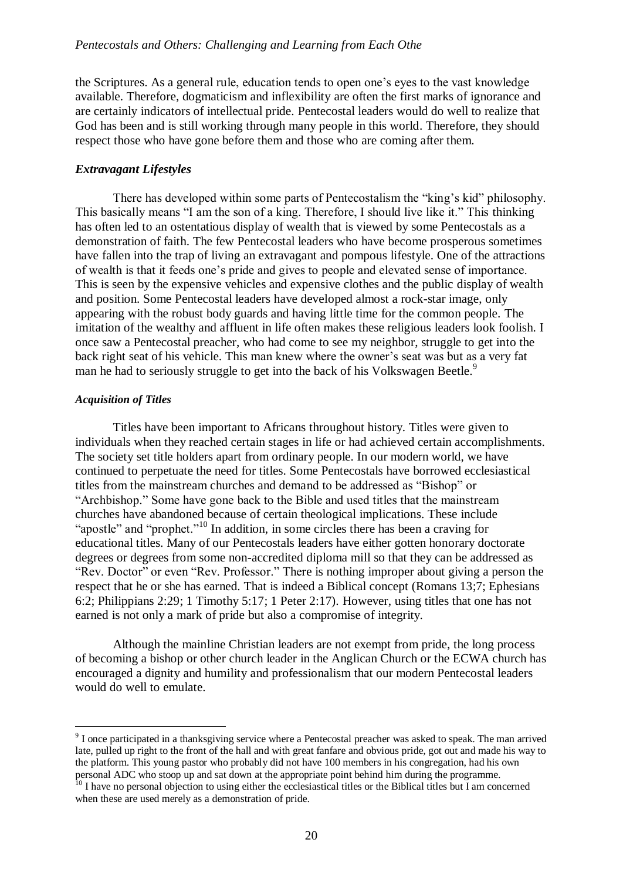the Scriptures. As a general rule, education tends to open one's eyes to the vast knowledge available. Therefore, dogmaticism and inflexibility are often the first marks of ignorance and are certainly indicators of intellectual pride. Pentecostal leaders would do well to realize that God has been and is still working through many people in this world. Therefore, they should respect those who have gone before them and those who are coming after them.

#### *Extravagant Lifestyles*

There has developed within some parts of Pentecostalism the "king's kid" philosophy. This basically means "I am the son of a king. Therefore, I should live like it." This thinking has often led to an ostentatious display of wealth that is viewed by some Pentecostals as a demonstration of faith. The few Pentecostal leaders who have become prosperous sometimes have fallen into the trap of living an extravagant and pompous lifestyle. One of the attractions of wealth is that it feeds one's pride and gives to people and elevated sense of importance. This is seen by the expensive vehicles and expensive clothes and the public display of wealth and position. Some Pentecostal leaders have developed almost a rock-star image, only appearing with the robust body guards and having little time for the common people. The imitation of the wealthy and affluent in life often makes these religious leaders look foolish. I once saw a Pentecostal preacher, who had come to see my neighbor, struggle to get into the back right seat of his vehicle. This man knew where the owner's seat was but as a very fat man he had to seriously struggle to get into the back of his Volkswagen Beetle.<sup>9</sup>

#### *Acquisition of Titles*

1

Titles have been important to Africans throughout history. Titles were given to individuals when they reached certain stages in life or had achieved certain accomplishments. The society set title holders apart from ordinary people. In our modern world, we have continued to perpetuate the need for titles. Some Pentecostals have borrowed ecclesiastical titles from the mainstream churches and demand to be addressed as "Bishop" or "Archbishop." Some have gone back to the Bible and used titles that the mainstream churches have abandoned because of certain theological implications. These include "apostle" and "prophet."<sup>10</sup> In addition, in some circles there has been a craving for educational titles. Many of our Pentecostals leaders have either gotten honorary doctorate degrees or degrees from some non-accredited diploma mill so that they can be addressed as "Rev. Doctor" or even "Rev. Professor." There is nothing improper about giving a person the respect that he or she has earned. That is indeed a Biblical concept (Romans 13;7; Ephesians 6:2; Philippians 2:29; 1 Timothy 5:17; 1 Peter 2:17). However, using titles that one has not earned is not only a mark of pride but also a compromise of integrity.

Although the mainline Christian leaders are not exempt from pride, the long process of becoming a bishop or other church leader in the Anglican Church or the ECWA church has encouraged a dignity and humility and professionalism that our modern Pentecostal leaders would do well to emulate.

 $9<sup>9</sup>$  I once participated in a thanksgiving service where a Pentecostal preacher was asked to speak. The man arrived late, pulled up right to the front of the hall and with great fanfare and obvious pride, got out and made his way to the platform. This young pastor who probably did not have 100 members in his congregation, had his own personal ADC who stoop up and sat down at the appropriate point behind him during the programme.

<sup>&</sup>lt;sup>10</sup> I have no personal objection to using either the ecclesiastical titles or the Biblical titles but I am concerned when these are used merely as a demonstration of pride.